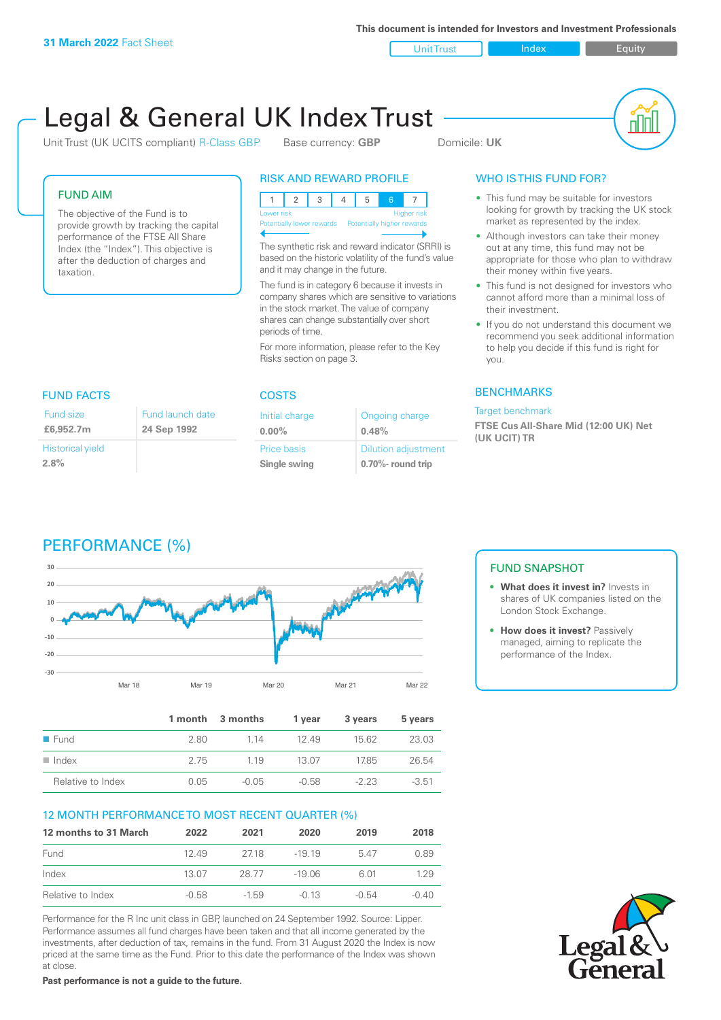**This document is intended for Investors and Investment Professionals**

Unit Trust Index **Index** Equity

# Legal & General UK Index Trust

Unit Trust (UK UCITS compliant) R-Class GBP Base currency: **GBP** Domicile: UK

nN

#### FUND AIM

The objective of the Fund is to provide growth by tracking the capital performance of the FTSE All Share Index (the "Index"). This objective is after the deduction of charges and taxation.

#### RISK AND REWARD PROFILE

|                           | Lower risk<br><b>Higher risk</b> |  |  |  |  |                            |  |
|---------------------------|----------------------------------|--|--|--|--|----------------------------|--|
| Potentially lower rewards |                                  |  |  |  |  | Potentially higher rewards |  |
|                           |                                  |  |  |  |  |                            |  |

The synthetic risk and reward indicator (SRRI) is based on the historic volatility of the fund's value and it may change in the future.

The fund is in category 6 because it invests in company shares which are sensitive to variations in the stock market. The value of company shares can change substantially over short periods of time.

For more information, please refer to the Key Risks section on page 3.

| <b>FUND FACTS</b>               | <b>COSTS</b>                    |                        |  |
|---------------------------------|---------------------------------|------------------------|--|
| Fund size<br>£6,952.7m          | Fund launch date<br>24 Sep 1992 | Initial ch<br>$0.00\%$ |  |
| <b>Historical yield</b><br>2.8% |                                 | Price bas<br>Single sy |  |

| 30 D | 5 | and in<br>п |  |
|------|---|-------------|--|
|      |   |             |  |

| Initial charge     | Ongoing charge             |
|--------------------|----------------------------|
| $0.00\%$           | 0.48%                      |
| <b>Price basis</b> | <b>Dilution adjustment</b> |
| Single swing       | $0.70\%$ - round trip      |

### WHO IS THIS FUND FOR?

- This fund may be suitable for investors looking for growth by tracking the UK stock market as represented by the index.
- Although investors can take their money out at any time, this fund may not be appropriate for those who plan to withdraw their money within five years.
- This fund is not designed for investors who cannot afford more than a minimal loss of their investment.
- If you do not understand this document we recommend you seek additional information to help you decide if this fund is right for you.

#### **BENCHMARKS**

#### Target benchmark

**FTSE Cus All-Share Mid (12:00 UK) Net (UK UCIT) TR**





|                      |      | 1 month 3 months | 1 year  | 3 years | 5 years |
|----------------------|------|------------------|---------|---------|---------|
| $\blacksquare$ Fund  | 280  | 1 1 4            | 1249    | 15.62   | 23.03   |
| $\blacksquare$ Index | 275  | 1 1 9            | -13.07  | 1785    | 26.54   |
| Relative to Index    | 0.05 | $-0.05$          | $-0.58$ | $-223$  | $-3.51$ |

#### 12 MONTH PERFORMANCE TO MOST RECENT QUARTER (%)

| 12 months to 31 March | 2022    | 2021    | 2020     | 2019    | 2018    |
|-----------------------|---------|---------|----------|---------|---------|
| Fund                  | 12.49   | 2718    | $-19.19$ | 547     | 0.89    |
| Index                 | 13.07   | 28.77   | $-19.06$ | 6.01    | 129     |
| Relative to Index     | $-0.58$ | $-1.59$ | $-0.13$  | $-0.54$ | $-0.40$ |

Performance for the R Inc unit class in GBP, launched on 24 September 1992. Source: Lipper. Performance assumes all fund charges have been taken and that all income generated by the investments, after deduction of tax, remains in the fund. From 31 August 2020 the Index is now priced at the same time as the Fund. Prior to this date the performance of the Index was shown at close.

**Past performance is not a guide to the future.**

#### FUND SNAPSHOT

- **• What does it invest in?** Invests in shares of UK companies listed on the London Stock Exchange.
- **• How does it invest?** Passively managed, aiming to replicate the performance of the Index.

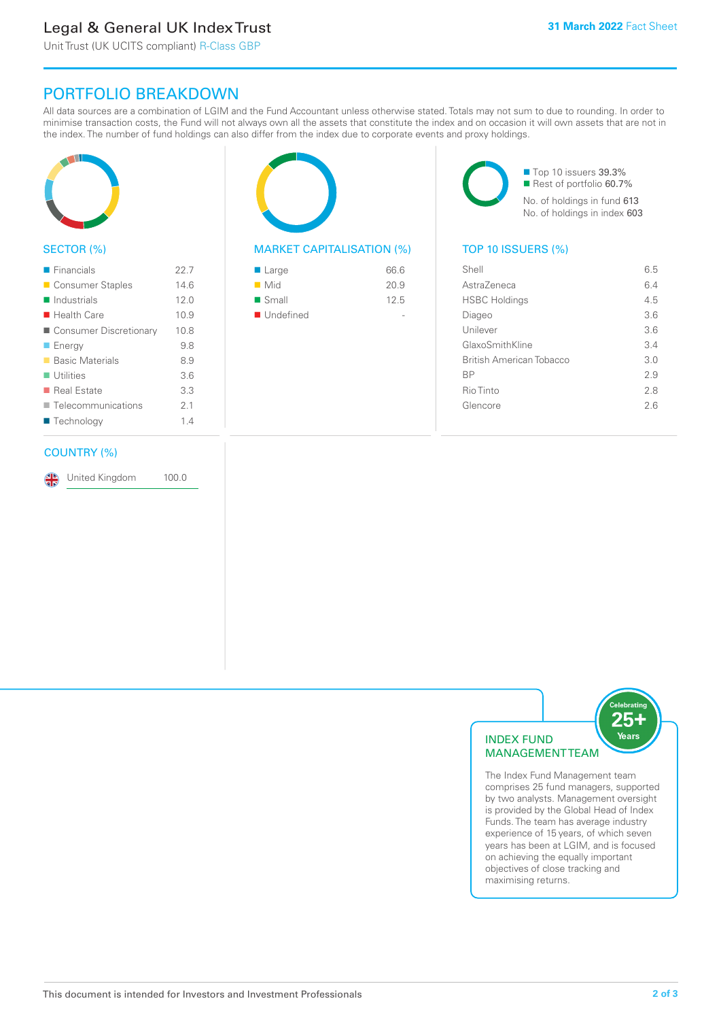# Legal & General UK Index Trust

Unit Trust (UK UCITS compliant) R-Class GBP

## PORTFOLIO BREAKDOWN

All data sources are a combination of LGIM and the Fund Accountant unless otherwise stated. Totals may not sum to due to rounding. In order to minimise transaction costs, the Fund will not always own all the assets that constitute the index and on occasion it will own assets that are not in the index. The number of fund holdings can also differ from the index due to corporate events and proxy holdings.



#### SECTOR (%)

| $\blacksquare$ Financials  | 22.7 |
|----------------------------|------|
| ■ Consumer Staples         | 14.6 |
| $\blacksquare$ Industrials | 12.0 |
| $\blacksquare$ Health Care | 10.9 |
| Consumer Discretionary     | 10.8 |
| <b>Energy</b>              | 9.8  |
| ■ Basic Materials          | 8.9  |
| $\blacksquare$ Utilities   | 3.6  |
| ■ Real Estate              | 3.3  |
| Telecommunications         | 2.1  |
| ■ Technology               | 1.4  |
|                            |      |

#### COUNTRY (%)

United Kingdom 100.0



#### MARKET CAPITALISATION (%) TOP 10 ISSUERS (%)

| 66.6 |
|------|
| 20.9 |
| 12.5 |
|      |
|      |

■ Top 10 issuers 39.3% ■ Rest of portfolio 60.7% No. of holdings in fund 613 No. of holdings in index 603

| Shell                    | 6.5 |
|--------------------------|-----|
| AstraZeneca              | 6.4 |
| <b>HSBC Holdings</b>     | 4.5 |
| Diageo                   | 36  |
| Unilever                 | 3.6 |
| GlaxoSmithKline          | 3.4 |
| British American Tobacco | 3.0 |
| <b>BP</b>                | 29  |
| Rio Tinto                | 2.8 |
| Glencore                 | 26  |
|                          |     |



The Index Fund Management team comprises 25 fund managers, supported by two analysts. Management oversight is provided by the Global Head of Index Funds. The team has average industry experience of 15 years, of which seven years has been at LGIM, and is focused on achieving the equally important objectives of close tracking and maximising returns.